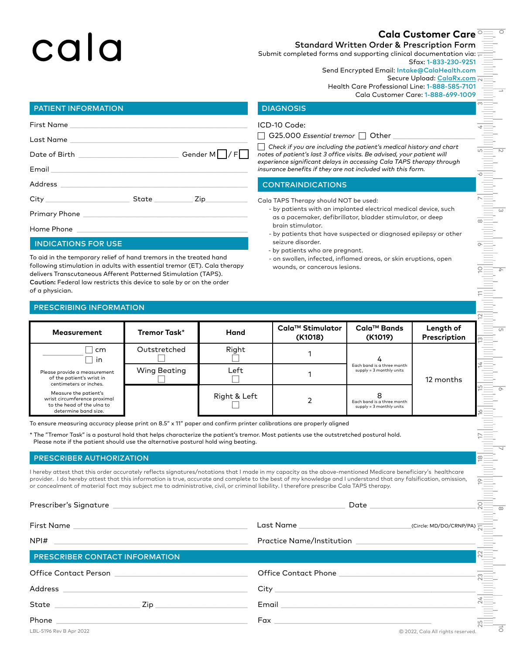# cala

# 0**Cala Customer Care**

 $\overline{\phantom{0}}$ 

m

 $\overline{\phantom{0}}$ 

 $\scriptstyle\sim$ 

 $\overline{\omega}$ 

4

 $\sigma$ 

 $^\circ$ 

 $\overline{\phantom{0}}$ 

 $\vec{o}$ 

4

ഥ

-0

 $\overline{\phantom{1}}$ E<br>E

୦

10

 $\stackrel{\textstyle\smile}{\textstyle\phantom{a}}$ 

12

ლ

14

15

16

17

18

 $\stackrel{\circ}{=}$ 

Standard Written Order & Prescription Form

Submit completed forms and supporting clinical documentation via: Sfax: 1-833-230-9251

Send Encrypted Email: Intake@CalaHealth.com

Secure Upload: [CalaRx.com](http://CalaRx.com)

Health Care Professional Line: 1-888-585-7101 Cala Customer Care: 1-888-699-1009

## PATIENT INFORMATION DIAGNOSIS

|  | Gender M $\Box$ /F $\Box$           |
|--|-------------------------------------|
|  |                                     |
|  |                                     |
|  | State _____________ Zip____________ |
|  |                                     |

Home Phone

#### INDICATIONS FOR USE

To aid in the temporary relief of hand tremors in the treated hand following stimulation in adults with essential tremor (ET). Cala therapy delivers Transcutaneous Afferent Patterned Stimulation (TAPS). Caution: Federal law restricts this device to sale by or on the order of a physician.

### PRESCRIBING INFORMATION

ICD-10 Code:

G25.000 *Essential tremor*  $\Box$  Other

c *Check if you are including the patient's medical history and chart notes of patient's last 3 office visits. Be advised, your patient will experience significant delays in accessing Cala TAPS therapy through insurance benefits if they are not included with this form.*

## CONTRAINDICATIONS

Cala TAPS Therapy should NOT be used:

- by patients with an implanted electrical medical device, such as a pacemaker, defibrillator, bladder stimulator, or deep brain stimulator.
- by patients that have suspected or diagnosed epilepsy or other seizure disorder.
- by patients who are pregnant.
- on swollen, infected, inflamed areas, or skin eruptions, open wounds, or cancerous lesions.

| <b>Measurement</b>                                                                                          | Tremor Task* | Hand         | Cala™ Stimulator<br>(K1018) | Cala™ Bands<br>(K1019)                                 | Length of<br>Prescription |
|-------------------------------------------------------------------------------------------------------------|--------------|--------------|-----------------------------|--------------------------------------------------------|---------------------------|
| cm<br>in.                                                                                                   | Outstretched | Right        |                             |                                                        |                           |
| Please provide a measurement<br>of the patient's wrist in<br>centimeters or inches.                         | Wing Beating | Left         |                             | Each band is a three month<br>supply = 3 monthly units | 12 months                 |
| Measure the patient's<br>wrist circumference proximal<br>to the head of the ulna to<br>determine band size. |              | Right & Left |                             | Each band is a three month<br>supply = 3 monthly units |                           |

To ensure measuring accuracy please print on 8.5" x 11" paper and confirm printer calibrations are properly aligned

\* The "Tremor Task" is a postural hold that helps characterize the patient's tremor. Most patients use the outstretched postural hold. Please note if the patient should use the alternative postural hold wing beating.

#### PRESCRIBER AUTHORIZATION

I hereby attest that this order accurately reflects signatures/notations that I made in my capacity as the above-mentioned Medicare beneficiary's healthcare provider. I do hereby attest that this information is true, accurate and complete to the best of my knowledge and I understand that any falsification, omission, or concealment of material fact may subject me to administrative, civil, or criminal liability. I therefore prescribe Cala TAPS therapy.

| $NPI#$ $\qquad$                                                                                                                                                                                                                                                                                                                                                                                                                    |                                                          |                                   |  |
|------------------------------------------------------------------------------------------------------------------------------------------------------------------------------------------------------------------------------------------------------------------------------------------------------------------------------------------------------------------------------------------------------------------------------------|----------------------------------------------------------|-----------------------------------|--|
| <b>PRESCRIBER CONTACT INFORMATION</b>                                                                                                                                                                                                                                                                                                                                                                                              |                                                          | $\frac{1}{2}$                     |  |
|                                                                                                                                                                                                                                                                                                                                                                                                                                    | office Contact Phone <u>Contact of the Contact Phone</u> |                                   |  |
|                                                                                                                                                                                                                                                                                                                                                                                                                                    |                                                          | . E                               |  |
| $\begin{picture}(25,10) \put(0,0){\dashbox{0.5}(5,0){ }} \put(15,0){\circle{10}} \put(15,0){\circle{10}} \put(15,0){\circle{10}} \put(15,0){\circle{10}} \put(15,0){\circle{10}} \put(15,0){\circle{10}} \put(15,0){\circle{10}} \put(15,0){\circle{10}} \put(15,0){\circle{10}} \put(15,0){\circle{10}} \put(15,0){\circle{10}} \put(15,0){\circle{10}} \put(15,0){\circle{10}} \put(15,0$<br><u>Zip ________________________</u> |                                                          | 24                                |  |
|                                                                                                                                                                                                                                                                                                                                                                                                                                    |                                                          | 25                                |  |
| LBL-5196 Rev B Apr 2022                                                                                                                                                                                                                                                                                                                                                                                                            |                                                          | © 2022, Cala All rights reserved. |  |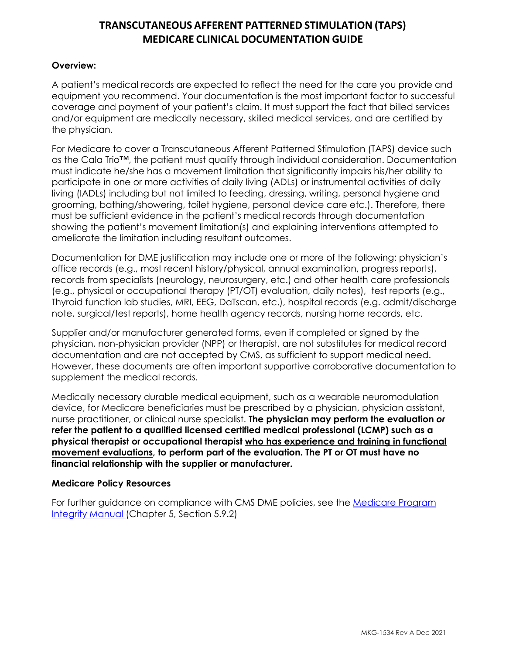# **TRANSCUTANEOUS AFFERENT PATTERNED STIMULATION (TAPS) MEDICARE CLINICAL DOCUMENTATION GUIDE**

## **Overview:**

A patient's medical records are expected to reflect the need for the care you provide and equipment you recommend. Your documentation is the most important factor to successful coverage and payment of your patient's claim. It must support the fact that billed services and/or equipment are medically necessary, skilled medical services, and are certified by the physician.

For Medicare to cover a Transcutaneous Afferent Patterned Stimulation (TAPS) device such as the Cala Trio™, the patient must qualify through individual consideration. Documentation must indicate he/she has a movement limitation that significantly impairs his/her ability to participate in one or more activities of daily living (ADLs) or instrumental activities of daily living (IADLs) including but not limited to feeding, dressing, writing, personal hygiene and grooming, bathing/showering, toilet hygiene, personal device care etc.). Therefore, there must be sufficient evidence in the patient's medical records through documentation showing the patient's movement limitation(s) and explaining interventions attempted to ameliorate the limitation including resultant outcomes.

Documentation for DME justification may include one or more of the following: physician's office records (e.g., most recent history/physical, annual examination, progress reports), records from specialists (neurology, neurosurgery, etc.) and other health care professionals (e.g., physical or occupational therapy (PT/OT) evaluation, daily notes), test reports (e.g., Thyroid function lab studies, MRI, EEG, DaTscan, etc.), hospital records (e.g. admit/discharge note, surgical/test reports), home health agency records, nursing home records, etc.

Supplier and/or manufacturer generated forms, even if completed or signed by the physician, non-physician provider (NPP) or therapist, are not substitutes for medical record documentation and are not accepted by CMS, as sufficient to support medical need. However, these documents are often important supportive corroborative documentation to supplement the medical records.

Medically necessary durable medical equipment, such as a wearable neuromodulation device, for Medicare beneficiaries must be prescribed by a physician, physician assistant, nurse practitioner, or clinical nurse specialist. **The physician may perform the evaluation** *or* **refer the patient to a qualified licensed certified medical professional (LCMP) such as a physical therapist or occupational therapist who has experience and training in functional movement evaluations, to perform part of the evaluation. The PT or OT must have no financial relationship with the supplier or manufacturer.** 

## **Medicare Policy Resources**

For further guidance on compliance with CMS DME policies, see the **Medicare Program** [Integrity Manual \(Chapter 5, Section 5.9.2\)](http://www.cms.gov/Regulations-and-Guidance/Guidance/Manuals/downloads/pim83c05.pdf)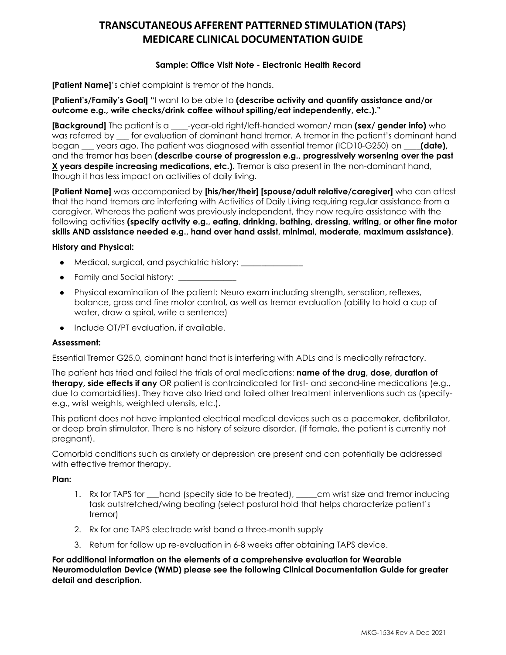# **TRANSCUTANEOUS AFFERENT PATTERNED STIMULATION (TAPS) MEDICARE CLINICAL DOCUMENTATION GUIDE**

## **Sample: Office Visit Note - Electronic Health Record**

**[Patient Name]**'s chief complaint is tremor of the hands.

**[Patient's/Family's Goal] "**I want to be able to **(describe activity and quantify assistance and/or outcome e.g., write checks/drink coffee without spilling/eat independently, etc.)."**

**[Background]** The patient is a **\_\_\_\_**-year-old right/left-handed woman/ man **(sex/ gender info)** who was referred by **\_\_\_** for evaluation of dominant hand tremor. A tremor in the patient's dominant hand began **\_\_\_** years ago. The patient was diagnosed with essential tremor (ICD10-G250) on **\_\_\_\_(date),** and the tremor has been **(describe course of progression e.g., progressively worsening over the past X years despite increasing medications, etc.).** Tremor is also present in the non-dominant hand, though it has less impact on activities of daily living.

**[Patient Name]** was accompanied by **[his/her/their] [spouse/adult relative/caregiver]** who can attest that the hand tremors are interfering with Activities of Daily Living requiring regular assistance from a caregiver. Whereas the patient was previously independent, they now require assistance with the following activities **(specify activity e.g., eating, drinking, bathing, dressing, writing, or other fine motor skills AND assistance needed e.g., hand over hand assist, minimal, moderate, maximum assistance)**.

### **History and Physical:**

- Medical, surgical, and psychiatric history:
- Family and Social history: \_\_\_\_\_\_\_\_\_\_\_\_\_\_
- Physical examination of the patient: Neuro exam including strength, sensation, reflexes, balance, gross and fine motor control, as well as tremor evaluation (ability to hold a cup of water, draw a spiral, write a sentence)
- Include OT/PT evaluation, if available.

## **Assessment:**

Essential Tremor G25.0, dominant hand that is interfering with ADLs and is medically refractory.

The patient has tried and failed the trials of oral medications: **name of the drug, dose, duration of therapy, side effects if any** OR patient is contraindicated for first- and second-line medications (e.g., due to comorbidities). They have also tried and failed other treatment interventions such as (specifye.g., wrist weights, weighted utensils, etc.).

This patient does not have implanted electrical medical devices such as a pacemaker, defibrillator, or deep brain stimulator. There is no history of seizure disorder. (If female, the patient is currently not pregnant).

Comorbid conditions such as anxiety or depression are present and can potentially be addressed with effective tremor therapy.

#### **Plan:**

- 1. Rx for TAPS for \_\_\_hand (specify side to be treated), \_\_\_\_\_cm wrist size and tremor inducing task outstretched/wing beating (select postural hold that helps characterize patient's tremor)
- 2. Rx for one TAPS electrode wrist band a three-month supply
- 3. Return for follow up re-evaluation in 6-8 weeks after obtaining TAPS device.

**For additional information on the elements of a comprehensive evaluation for Wearable Neuromodulation Device (WMD) please see the following Clinical Documentation Guide for greater detail and description.**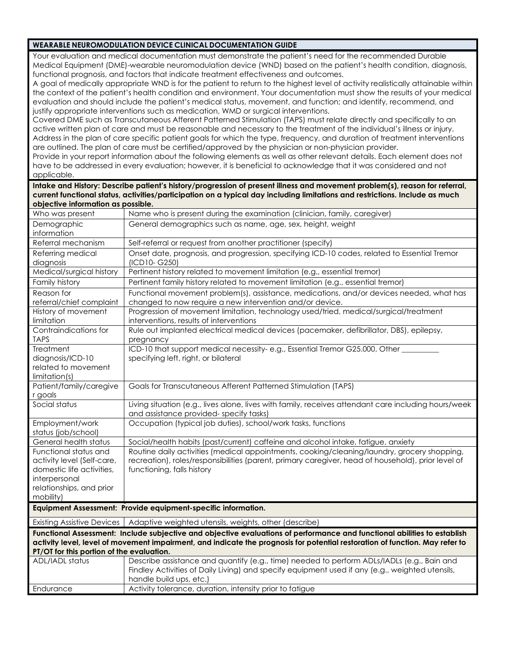#### **WEARABLE NEUROMODULATION DEVICE CLINICAL DOCUMENTATION GUIDE**

Your evaluation and medical documentation must demonstrate the patient's need for the recommended Durable Medical Equipment (DME)-wearable neuromodulation device (WND) based on the patient's health condition, diagnosis, functional prognosis, and factors that indicate treatment effectiveness and outcomes.

A goal of medically appropriate WND is for the patient to return to the highest level of activity realistically attainable within the context of the patient's health condition and environment. Your documentation must show the results of your medical evaluation and should include the patient's medical status, movement, and function; and identify, recommend, and justify appropriate interventions such as medication, WMD or surgical interventions.

Covered DME such as Transcutaneous Afferent Patterned Stimulation (TAPS) must relate directly and specifically to an active written plan of care and must be reasonable and necessary to the treatment of the individual's illness or injury. Address in the plan of care specific patient goals for which the type, frequency, and duration of treatment interventions are outlined. The plan of care must be certified/approved by the physician or non-physician provider.

Provide in your report information about the following elements as well as other relevant details. Each element does not have to be addressed in every evaluation; however, it is beneficial to acknowledge that it was considered and not applicable.

**Intake and History: Describe patient's history/progression of present illness and movement problem(s), reason for referral, current functional status, activities/participation on a typical day including limitations and restrictions. Include as much objective information as possible.**

| Who was present                                                                                                                                                                                                                                                                                       | Name who is present during the examination (clinician, family, caregiver)                                                                                                                                                       |  |
|-------------------------------------------------------------------------------------------------------------------------------------------------------------------------------------------------------------------------------------------------------------------------------------------------------|---------------------------------------------------------------------------------------------------------------------------------------------------------------------------------------------------------------------------------|--|
| Demographic<br>information                                                                                                                                                                                                                                                                            | General demographics such as name, age, sex, height, weight                                                                                                                                                                     |  |
| Referral mechanism                                                                                                                                                                                                                                                                                    | Self-referral or request from another practitioner (specify)                                                                                                                                                                    |  |
| Referring medical<br>diagnosis                                                                                                                                                                                                                                                                        | Onset date, prognosis, and progression, specifying ICD-10 codes, related to Essential Tremor<br>(ICD10-G250)                                                                                                                    |  |
| Medical/surgical history                                                                                                                                                                                                                                                                              | Pertinent history related to movement limitation (e.g., essential tremor)                                                                                                                                                       |  |
| Family history                                                                                                                                                                                                                                                                                        | Pertinent family history related to movement limitation (e.g., essential tremor)                                                                                                                                                |  |
| Reason for<br>referral/chief complaint                                                                                                                                                                                                                                                                | Functional movement problem(s), assistance, medications, and/or devices needed, what has<br>changed to now require a new intervention and/or device.                                                                            |  |
| History of movement<br>limitation                                                                                                                                                                                                                                                                     | Progression of movement limitation, technology used/tried, medical/surgical/treatment<br>interventions, results of interventions                                                                                                |  |
| Contraindications for<br><b>TAPS</b>                                                                                                                                                                                                                                                                  | Rule out implanted electrical medical devices (pacemaker, defibrillator, DBS), epilepsy,<br>pregnancy                                                                                                                           |  |
| Treatment<br>diagnosis/ICD-10<br>related to movement<br>limitation(s)                                                                                                                                                                                                                                 | ICD-10 that support medical necessity-e.g., Essential Tremor G25.000, Other _____<br>specifying left, right, or bilateral                                                                                                       |  |
| Patient/family/caregive<br>r goals                                                                                                                                                                                                                                                                    | Goals for Transcutaneous Afferent Patterned Stimulation (TAPS)                                                                                                                                                                  |  |
| Social status                                                                                                                                                                                                                                                                                         | Living situation (e.g., lives alone, lives with family, receives attendant care including hours/week<br>and assistance provided-specify tasks)                                                                                  |  |
| Employment/work<br>status (job/school)                                                                                                                                                                                                                                                                | Occupation (typical job duties), school/work tasks, functions                                                                                                                                                                   |  |
| General health status                                                                                                                                                                                                                                                                                 | Social/health habits (past/current) caffeine and alcohol intake, fatigue, anxiety                                                                                                                                               |  |
| Functional status and<br>activity level (Self-care,<br>domestic life activities,<br>interpersonal<br>relationships, and prior<br>mobility)                                                                                                                                                            | Routine daily activities (medical appointments, cooking/cleaning/laundry, grocery shopping,<br>recreation), roles/responsibilities (parent, primary caregiver, head of household), prior level of<br>functioning, falls history |  |
| Equipment Assessment: Provide equipment-specific information.                                                                                                                                                                                                                                         |                                                                                                                                                                                                                                 |  |
| <b>Existing Assistive Devices</b>                                                                                                                                                                                                                                                                     | Adaptive weighted utensils, weights, other (describe)                                                                                                                                                                           |  |
| Functional Assessment: Include subjective and objective evaluations of performance and functional abilities to establish<br>activity level, level of movement impairment, and indicate the prognosis for potential restoration of function. May refer to<br>PT/OT for this portion of the evaluation. |                                                                                                                                                                                                                                 |  |
| <b>ADL/IADL status</b>                                                                                                                                                                                                                                                                                | Describe assistance and quantify (e.g., time) needed to perform ADLs/IADLs (e.g., Bain and<br>Findley Activities of Daily Living) and specify equipment used if any (e.g., weighted utensils,<br>handle build ups, etc.)        |  |
| Endurance                                                                                                                                                                                                                                                                                             | Activity tolerance, duration, intensity prior to fatigue                                                                                                                                                                        |  |